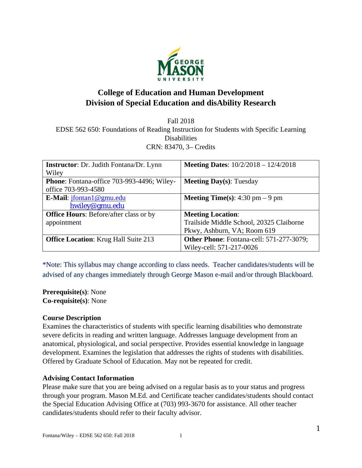

# **College of Education and Human Development Division of Special Education and disAbility Research**

Fall 2018 EDSE 562 650: Foundations of Reading Instruction for Students with Specific Learning **Disabilities** CRN: 83470, 3– Credits

| <b>Instructor:</b> Dr. Judith Fontana/Dr. Lynn | <b>Meeting Dates:</b> $10/2/2018 - 12/4/2018$ |
|------------------------------------------------|-----------------------------------------------|
| Wiley                                          |                                               |
| Phone: Fontana-office 703-993-4496; Wiley-     | <b>Meeting Day(s):</b> Tuesday                |
| office 703-993-4580                            |                                               |
| E-Mail: <i>jfontan1@gmu.edu</i>                | <b>Meeting Time(s):</b> 4:30 pm $-9$ pm       |
| hwiley@gmu.edu                                 |                                               |
| <b>Office Hours:</b> Before/after class or by  | <b>Meeting Location:</b>                      |
| appointment                                    | Trailside Middle School, 20325 Claiborne      |
|                                                | Pkwy, Ashburn, VA; Room 619                   |
| <b>Office Location:</b> Krug Hall Suite 213    | Other Phone: Fontana-cell: 571-277-3079;      |
|                                                | Wiley-cell: 571-217-0026                      |

\*Note: This syllabus may change according to class needs. Teacher candidates/students will be advised of any changes immediately through George Mason e-mail and/or through Blackboard.

**Prerequisite(s)**: None **Co-requisite(s)**: None

## **Course Description**

Examines the characteristics of students with specific learning disabilities who demonstrate severe deficits in reading and written language. Addresses language development from an anatomical, physiological, and social perspective. Provides essential knowledge in language development. Examines the legislation that addresses the rights of students with disabilities. Offered by Graduate School of Education. May not be repeated for credit.

## **Advising Contact Information**

Please make sure that you are being advised on a regular basis as to your status and progress through your program. Mason M.Ed. and Certificate teacher candidates/students should contact the Special Education Advising Office at (703) 993-3670 for assistance. All other teacher candidates/students should refer to their faculty advisor.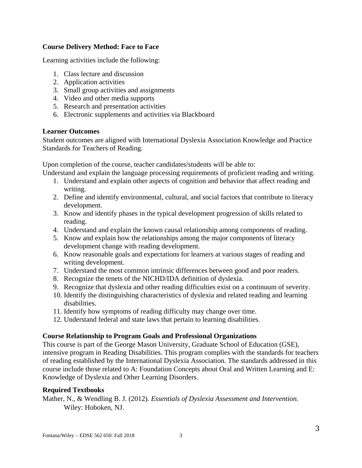## **Course Delivery Method: Face to Face**

Learning activities include the following:

- 1. Class lecture and discussion
- 2. Application activities
- 3. Small group activities and assignments
- 4. Video and other media supports
- 5. Research and presentation activities
- 6. Electronic supplements and activities via Blackboard

### **Learner Outcomes**

Student outcomes are aligned with International Dyslexia Association Knowledge and Practice Standards for Teachers of Reading.

Upon completion of the course, teacher candidates/students will be able to:

Understand and explain the language processing requirements of proficient reading and writing.

- 1. Understand and explain other aspects of cognition and behavior that affect reading and writing.
- 2. Define and identify environmental, cultural, and social factors that contribute to literacy development.
- 3. Know and identify phases in the typical development progression of skills related to reading.
- 4. Understand and explain the known causal relationship among components of reading.
- 5. Know and explain how the relationships among the major components of literacy development change with reading development.
- 6. Know reasonable goals and expectations for learners at various stages of reading and writing development.
- 7. Understand the most common intrinsic differences between good and poor readers.
- 8. Recognize the tenets of the NICHD/IDA definition of dyslexia.
- 9. Recognize that dyslexia and other reading difficulties exist on a continuum of severity.
- 10. Identify the distinguishing characteristics of dyslexia and related reading and learning disabilities.
- 11. Identify how symptoms of reading difficulty may change over time.
- 12. Understand federal and state laws that pertain to learning disabilities.

## **Course Relationship to Program Goals and Professional Organizations**

This course is part of the George Mason University, Graduate School of Education (GSE), intensive program in Reading Disabilities. This program complies with the standards for teachers of reading established by the International Dyslexia Association. The standards addressed in this course include those related to A: Foundation Concepts about Oral and Written Learning and E: Knowledge of Dyslexia and Other Learning Disorders.

### **Required Textbooks**

Mather, N., & Wendling B. J. (2012). *Essentials of Dyslexia Assessment and Intervention.* Wiley: Hoboken, NJ.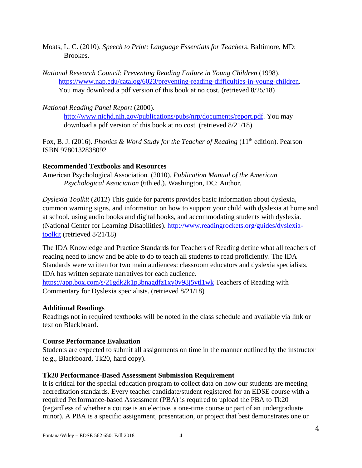- Moats, L. C. (2010). *Speech to Print: Language Essentials for Teachers*. Baltimore, MD: Brookes.
- *National Research Council*: *Preventing Reading Failure in Young Children* (1998). https://www.nap.edu/catalog/6023/preventing-reading-difficulties-in-young-children. You may download a pdf version of this book at no cost. (retrieved 8/25/18)

## *National Reading Panel Report* (2000).

http://www.nichd.nih.gov/publications/pubs/nrp/documents/report.pdf. You may download a pdf version of this book at no cost. (retrieved 8/21/18)

Fox, B. J. (2016). *Phonics & Word Study for the Teacher of Reading* (11<sup>th</sup> edition). Pearson ISBN 9780132838092

### **Recommended Textbooks and Resources**

American Psychological Association*.* (2010). *Publication Manual of the American Psychological Association* (6th ed.). Washington, DC: Author.

*Dyslexia Toolkit* (2012) This guide for parents provides basic information about dyslexia, common warning signs, and information on how to support your child with dyslexia at home and at school, using audio books and digital books, and accommodating students with dyslexia. (National Center for Learning Disabilities). http://www.readingrockets.org/guides/dyslexiatoolkit (retrieved 8/21/18)

The IDA Knowledge and Practice Standards for Teachers of Reading define what all teachers of reading need to know and be able to do to teach all students to read proficiently. The IDA Standards were written for two main audiences: classroom educators and dyslexia specialists. IDA has written separate narratives for each audience.

https://app.box.com/s/21gdk2k1p3bnagdfz1xy0v98j5ytl1wk Teachers of Reading with Commentary for Dyslexia specialists. (retrieved 8/21/18)

## **Additional Readings**

Readings not in required textbooks will be noted in the class schedule and available via link or text on Blackboard.

## **Course Performance Evaluation**

Students are expected to submit all assignments on time in the manner outlined by the instructor (e.g., Blackboard, Tk20, hard copy).

## **Tk20 Performance-Based Assessment Submission Requirement**

It is critical for the special education program to collect data on how our students are meeting accreditation standards. Every teacher candidate/student registered for an EDSE course with a required Performance-based Assessment (PBA) is required to upload the PBA to Tk20 (regardless of whether a course is an elective, a one-time course or part of an undergraduate minor). A PBA is a specific assignment, presentation, or project that best demonstrates one or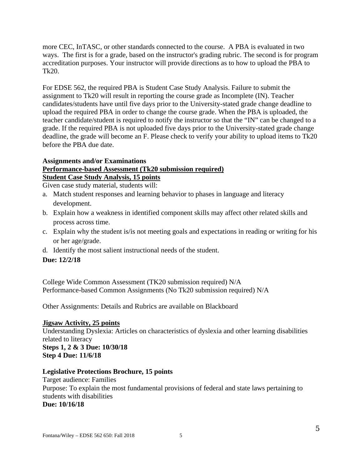more CEC, InTASC, or other standards connected to the course. A PBA is evaluated in two ways. The first is for a grade, based on the instructor's grading rubric. The second is for program accreditation purposes. Your instructor will provide directions as to how to upload the PBA to Tk20.

For EDSE 562, the required PBA is Student Case Study Analysis. Failure to submit the assignment to Tk20 will result in reporting the course grade as Incomplete (IN). Teacher candidates/students have until five days prior to the University-stated grade change deadline to upload the required PBA in order to change the course grade. When the PBA is uploaded, the teacher candidate/student is required to notify the instructor so that the "IN" can be changed to a grade. If the required PBA is not uploaded five days prior to the University-stated grade change deadline, the grade will become an F. Please check to verify your ability to upload items to Tk20 before the PBA due date.

### **Assignments and/or Examinations Performance-based Assessment (Tk20 submission required) Student Case Study Analysis, 15 points**

Given case study material, students will:

- a. Match student responses and learning behavior to phases in language and literacy development.
- b. Explain how a weakness in identified component skills may affect other related skills and process across time.
- c. Explain why the student is/is not meeting goals and expectations in reading or writing for his or her age/grade.
- d. Identify the most salient instructional needs of the student.

## **Due: 12/2/18**

College Wide Common Assessment (TK20 submission required) N/A Performance-based Common Assignments (No Tk20 submission required) N/A

Other Assignments: Details and Rubrics are available on Blackboard

## **Jigsaw Activity, 25 points**

Understanding Dyslexia: Articles on characteristics of dyslexia and other learning disabilities related to literacy

## **Steps 1, 2 & 3 Due: 10/30/18 Step 4 Due: 11/6/18**

## **Legislative Protections Brochure, 15 points**

Target audience: Families Purpose: To explain the most fundamental provisions of federal and state laws pertaining to students with disabilities **Due: 10/16/18**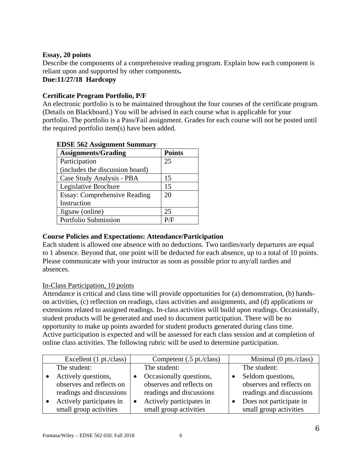## **Essay, 20 points**

Describe the components of a comprehensive reading program. Explain how each component is reliant upon and supported by other components**. Due:11/27/18 Hardcopy** 

## **Certificate Program Portfolio, P/F**

An electronic portfolio is to be maintained throughout the four courses of the certificate program. (Details on Blackboard.) You will be advised in each course what is applicable for your portfolio. The portfolio is a Pass/Fail assignment. Grades for each course will not be posted until the required portfolio item(s) have been added.

| <b>Assignments/Grading</b>          | <b>Points</b> |
|-------------------------------------|---------------|
| Participation                       | 25            |
| (includes the discussion board)     |               |
| Case Study Analysis - PBA           | 15            |
| Legislative Brochure                | 15            |
| <b>Essay: Comprehensive Reading</b> | 20            |
| Instruction                         |               |
| Jigsaw (online)                     | 25            |
| Portfolio Submission                | P/F           |

## **EDSE 562 Assignment Summary**

## **Course Policies and Expectations: Attendance/Participation**

Each student is allowed one absence with no deductions. Two tardies/early departures are equal to 1 absence. Beyond that, one point will be deducted for each absence, up to a total of 10 points. Please communicate with your instructor as soon as possible prior to any/all tardies and absences.

## In-Class Participation, 10 points

Attendance is critical and class time will provide opportunities for (a) demonstration, (b) handson activities, (c) reflection on readings, class activities and assignments, and (d) applications or extensions related to assigned readings. In-class activities will build upon readings. Occasionally, student products will be generated and used to document participation. There will be no opportunity to make up points awarded for student products generated during class time. Active participation is expected and will be assessed for each class session and at completion of online class activities. The following rubric will be used to determine participation.

| Excellent (1 pt./class)  | Competent (.5 pt./class) | Minimal (0 pts./class)   |
|--------------------------|--------------------------|--------------------------|
| The student:             | The student:             | The student:             |
| Actively questions,      | Occasionally questions,  | Seldom questions,        |
| observes and reflects on | observes and reflects on | observes and reflects on |
| readings and discussions | readings and discussions | readings and discussions |
| Actively participates in | Actively participates in | Does not participate in  |
| small group activities   | small group activities   | small group activities   |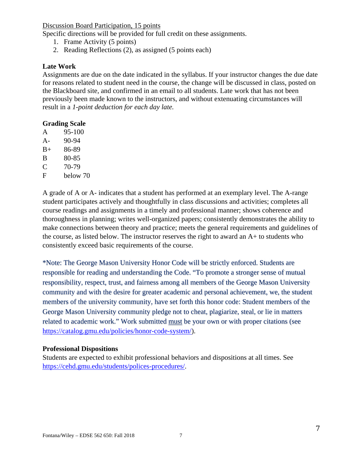Discussion Board Participation, 15 points

Specific directions will be provided for full credit on these assignments.

- 1. Frame Activity (5 points)
- 2. Reading Reflections (2), as assigned (5 points each)

### **Late Work**

Assignments are due on the date indicated in the syllabus. If your instructor changes the due date for reasons related to student need in the course, the change will be discussed in class, posted on the Blackboard site, and confirmed in an email to all students. Late work that has not been previously been made known to the instructors, and without extenuating circumstances will result in a *1-point deduction for each day late.*

### **Grading Scale**

- A 95-100
- A- 90-94
- B+ 86-89
- B 80-85
- $C = 70-79$
- F below 70

A grade of A or A- indicates that a student has performed at an exemplary level. The A-range student participates actively and thoughtfully in class discussions and activities; completes all course readings and assignments in a timely and professional manner; shows coherence and thoroughness in planning; writes well-organized papers; consistently demonstrates the ability to make connections between theory and practice; meets the general requirements and guidelines of the course, as listed below. The instructor reserves the right to award an  $A$ + to students who consistently exceed basic requirements of the course.

\*Note: The George Mason University Honor Code will be strictly enforced. Students are responsible for reading and understanding the Code. "To promote a stronger sense of mutual responsibility, respect, trust, and fairness among all members of the George Mason University community and with the desire for greater academic and personal achievement, we, the student members of the university community, have set forth this honor code: Student members of the George Mason University community pledge not to cheat, plagiarize, steal, or lie in matters related to academic work." Work submitted must be your own or with proper citations (see https://catalog.gmu.edu/policies/honor-code-system/).

### **Professional Dispositions**

Students are expected to exhibit professional behaviors and dispositions at all times. See https://cehd.gmu.edu/students/polices-procedures/.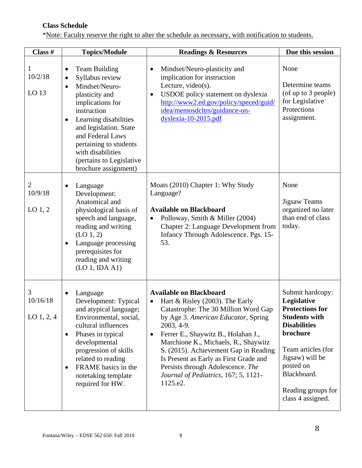## **Class Schedule**

\*Note: Faculty reserve the right to alter the schedule as necessary, with notification to students.

| Class #                             | <b>Topics/Module</b>                                                                                                                                                                                                                                                                                               | <b>Readings &amp; Resources</b>                                                                                                                                                                                                                                                                                                                                                                                                                     | Due this session                                                                                                                                                                                                                     |
|-------------------------------------|--------------------------------------------------------------------------------------------------------------------------------------------------------------------------------------------------------------------------------------------------------------------------------------------------------------------|-----------------------------------------------------------------------------------------------------------------------------------------------------------------------------------------------------------------------------------------------------------------------------------------------------------------------------------------------------------------------------------------------------------------------------------------------------|--------------------------------------------------------------------------------------------------------------------------------------------------------------------------------------------------------------------------------------|
| 1<br>10/2/18<br>LO <sub>13</sub>    | <b>Team Building</b><br>Syllabus review<br>$\bullet$<br>Mindset/Neuro-<br>plasticity and<br>implications for<br>instruction<br>Learning disabilities<br>$\bullet$<br>and legislation. State<br>and Federal Laws<br>pertaining to students<br>with disabilities<br>(pertains to Legislative<br>brochure assignment) | Mindset/Neuro-plasticity and<br>implication for instruction<br>Lecture, video $(s)$ .<br>USDOE policy statement on dyslexia<br>http://www2.ed.gov/policy/speced/guid/<br>idea/memosdcltrs/guidance-on-<br>$dyslexia-10-2015.pdf$                                                                                                                                                                                                                    | None<br>Determine teams<br>(of up to 3 people)<br>for Legislative<br>Protections<br>assignment.                                                                                                                                      |
| 2<br>10/9/18<br>LO <sub>1</sub> , 2 | Language<br>Development:<br>Anatomical and<br>physiological basis of<br>speech and language,<br>reading and writing<br>$(LO_1, 2)$<br>Language processing<br>$\bullet$<br>prerequisites for<br>reading and writing<br>(LO 1, IDA A1)                                                                               | Moats (2010) Chapter 1: Why Study<br>Language?<br><b>Available on Blackboard</b><br>Polloway, Smith & Miller (2004)<br>Chapter 2: Language Development from<br>Infancy Through Adolescence. Pgs. 15-<br>53.                                                                                                                                                                                                                                         | None<br><b>Jigsaw Teams</b><br>organized no later<br>than end of class<br>today.                                                                                                                                                     |
| 3<br>10/16/18<br>$LO$ 1, 2, 4       | Language<br>Development: Typical<br>and atypical language;<br>Environmental, social,<br>cultural influences<br>Phases in typical<br>$\bullet$<br>developmental<br>progression of skills<br>related to reading<br>FRAME basics in the<br>$\bullet$<br>notetaking template<br>required for HW.                       | <b>Available on Blackboard</b><br>Hart & Risley (2003). The Early<br>$\bullet$<br>Catastrophe: The 30 Million Word Gap<br>by Age 3. American Educator, Spring<br>2003, 4-9.<br>Ferrer E., Shaywitz B., Holahan J.,<br>$\bullet$<br>Marchione K., Michaels, R., Shaywitz<br>S. (2015). Achievement Gap in Reading<br>Is Present as Early as First Grade and<br>Persists through Adolescence. The<br>Journal of Pediatrics, 167; 5, 1121-<br>1125.e2. | Submit hardcopy:<br>Legislative<br><b>Protections for</b><br><b>Students with</b><br><b>Disabilities</b><br>brochure<br>Team articles (for<br>Jigsaw) will be<br>posted on<br>Blackboard.<br>Reading groups for<br>class 4 assigned. |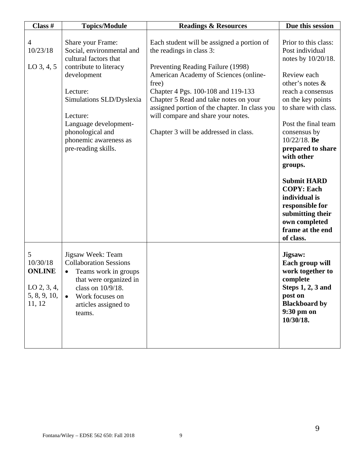| Class #                                                                   | <b>Topics/Module</b>                                                                                                                                                                                                                                              | <b>Readings &amp; Resources</b>                                                                                                                                                                                                                                                                                                                                              | Due this session                                                                                                                                                                                                                                                                                                                                                                                                                  |
|---------------------------------------------------------------------------|-------------------------------------------------------------------------------------------------------------------------------------------------------------------------------------------------------------------------------------------------------------------|------------------------------------------------------------------------------------------------------------------------------------------------------------------------------------------------------------------------------------------------------------------------------------------------------------------------------------------------------------------------------|-----------------------------------------------------------------------------------------------------------------------------------------------------------------------------------------------------------------------------------------------------------------------------------------------------------------------------------------------------------------------------------------------------------------------------------|
| 4<br>10/23/18<br>$LO$ 3, 4, 5                                             | Share your Frame:<br>Social, environmental and<br>cultural factors that<br>contribute to literacy<br>development<br>Lecture:<br>Simulations SLD/Dyslexia<br>Lecture:<br>Language development-<br>phonological and<br>phonemic awareness as<br>pre-reading skills. | Each student will be assigned a portion of<br>the readings in class 3:<br>Preventing Reading Failure (1998)<br>American Academy of Sciences (online-<br>free)<br>Chapter 4 Pgs. 100-108 and 119-133<br>Chapter 5 Read and take notes on your<br>assigned portion of the chapter. In class you<br>will compare and share your notes.<br>Chapter 3 will be addressed in class. | Prior to this class:<br>Post individual<br>notes by 10/20/18.<br>Review each<br>other's notes $\&$<br>reach a consensus<br>on the key points<br>to share with class.<br>Post the final team<br>consensus by<br>$10/22/18$ . Be<br>prepared to share<br>with other<br>groups.<br><b>Submit HARD</b><br><b>COPY: Each</b><br>individual is<br>responsible for<br>submitting their<br>own completed<br>frame at the end<br>of class. |
| 5<br>10/30/18<br><b>ONLINE</b><br>$LO$ 2, 3, 4,<br>5, 8, 9, 10,<br>11, 12 | Jigsaw Week: Team<br><b>Collaboration Sessions</b><br>Teams work in groups<br>that were organized in<br>class on 10/9/18.<br>Work focuses on<br>$\bullet$<br>articles assigned to<br>teams.                                                                       |                                                                                                                                                                                                                                                                                                                                                                              | Jigsaw:<br>Each group will<br>work together to<br>complete<br>Steps $1, 2, 3$ and<br>post on<br><b>Blackboard by</b><br>9:30 pm on<br>10/30/18.                                                                                                                                                                                                                                                                                   |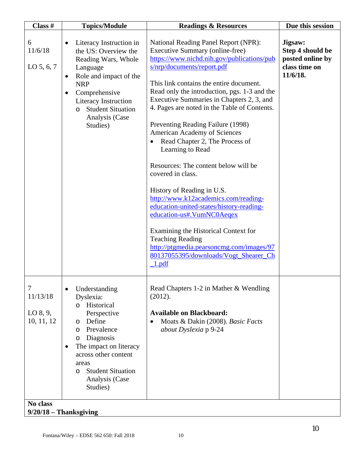| Class #                                             | <b>Topics/Module</b>                                                                                                                                                                                                                                                            | <b>Readings &amp; Resources</b>                                                                                                                                                                                                                                                                                                                                                                                                                                                                                                                                                                                                                                                                                                                                                                                                                     | Due this session                                                             |
|-----------------------------------------------------|---------------------------------------------------------------------------------------------------------------------------------------------------------------------------------------------------------------------------------------------------------------------------------|-----------------------------------------------------------------------------------------------------------------------------------------------------------------------------------------------------------------------------------------------------------------------------------------------------------------------------------------------------------------------------------------------------------------------------------------------------------------------------------------------------------------------------------------------------------------------------------------------------------------------------------------------------------------------------------------------------------------------------------------------------------------------------------------------------------------------------------------------------|------------------------------------------------------------------------------|
| 6<br>11/6/18<br>$LO$ 5, 6, 7                        | Literacy Instruction in<br>the US: Overview the<br>Reading Wars, Whole<br>Language<br>Role and impact of the<br>$\bullet$<br><b>NRP</b><br>Comprehensive<br>$\bullet$<br>Literacy Instruction<br><b>Student Situation</b><br>$\circ$<br>Analysis (Case<br>Studies)              | National Reading Panel Report (NPR):<br>Executive Summary (online-free)<br>https://www.nichd.nih.gov/publications/pub<br>s/nrp/documents/report.pdf<br>This link contains the entire document.<br>Read only the introduction, pgs. 1-3 and the<br>Executive Summaries in Chapters 2, 3, and<br>4. Pages are noted in the Table of Contents.<br>Preventing Reading Failure (1998)<br>American Academy of Sciences<br>Read Chapter 2, The Process of<br>Learning to Read<br>Resources: The content below will be<br>covered in class.<br>History of Reading in U.S.<br>http://www.k12academics.com/reading-<br>education-united-states/history-reading-<br>education-us#.VumNC0Aeqex<br>Examining the Historical Context for<br><b>Teaching Reading</b><br>http://ptgmedia.pearsoncmg.com/images/97<br>80137055395/downloads/Vogt_Shearer_Ch<br>1.pdf | Jigsaw:<br>Step 4 should be<br>posted online by<br>class time on<br>11/6/18. |
| 7<br>11/13/18<br>LO 8, 9,<br>10, 11, 12<br>No class | Understanding<br>$\bullet$<br>Dyslexia:<br>Historical<br>$\Omega$<br>Perspective<br>Define<br>O<br>Prevalence<br>O<br>Diagnosis<br>$\circ$<br>The impact on literacy<br>٠<br>across other content<br>areas<br><b>Student Situation</b><br>$\circ$<br>Analysis (Case<br>Studies) | Read Chapters 1-2 in Mather & Wendling<br>(2012).<br><b>Available on Blackboard:</b><br>Moats & Dakin (2008). Basic Facts<br>about Dyslexia p 9-24                                                                                                                                                                                                                                                                                                                                                                                                                                                                                                                                                                                                                                                                                                  |                                                                              |
|                                                     | $9/20/18$ – Thanksgiving                                                                                                                                                                                                                                                        |                                                                                                                                                                                                                                                                                                                                                                                                                                                                                                                                                                                                                                                                                                                                                                                                                                                     |                                                                              |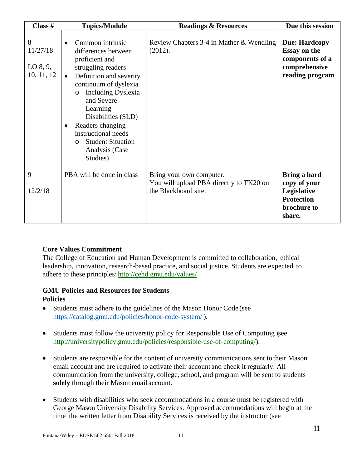| Class $#$                                 | <b>Topics/Module</b>                                                                                                                                                                                                                                                                                                                                                                | <b>Readings &amp; Resources</b>                                                             | Due this session                                                                                   |
|-------------------------------------------|-------------------------------------------------------------------------------------------------------------------------------------------------------------------------------------------------------------------------------------------------------------------------------------------------------------------------------------------------------------------------------------|---------------------------------------------------------------------------------------------|----------------------------------------------------------------------------------------------------|
| 8<br>11/27/18<br>$LO$ 8, 9,<br>10, 11, 12 | Common intrinsic<br>$\bullet$<br>differences between<br>proficient and<br>struggling readers<br>Definition and severity<br>$\bullet$<br>continuum of dyslexia<br><b>Including Dyslexia</b><br>$\circ$<br>and Severe<br>Learning<br>Disabilities (SLD)<br>Readers changing<br>$\bullet$<br>instructional needs<br><b>Student Situation</b><br>$\Omega$<br>Analysis (Case<br>Studies) | Review Chapters 3-4 in Mather & Wendling<br>(2012).                                         | <b>Due: Hardcopy</b><br><b>Essay on the</b><br>components of a<br>comprehensive<br>reading program |
| 9<br>12/2/18                              | PBA will be done in class                                                                                                                                                                                                                                                                                                                                                           | Bring your own computer.<br>You will upload PBA directly to TK20 on<br>the Blackboard site. | Bring a hard<br>copy of your<br>Legislative<br><b>Protection</b><br>brochure to<br>share.          |

## **Core Values Commitment**

The College of Education and Human Development is committed to collaboration, ethical leadership, innovation, research-based practice, and social justice. Students are expected to adhere to these principles: http://cehd.gmu.edu/values/

### **GMU Policies and Resources for Students Policies**

- Students must adhere to the guidelines of the Mason Honor Code (see https://catalog.gmu.edu/policies/honor-code-system/ ).
- Students must follow the university policy for Responsible Use of Computing (see http://universitypolicy.gmu.edu/policies/responsible-use-of-computing/).
- Students are responsible for the content of university communications sent to their Mason email account and are required to activate their account and check it regularly. All communication from the university, college, school, and program will be sent to students **solely** through their Mason email account.
- Students with disabilities who seek accommodations in a course must be registered with George Mason University Disability Services. Approved accommodations will begin at the time the written letter from Disability Services is received by the instructor (see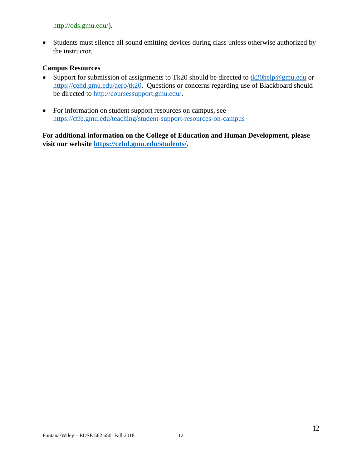### http://ods.gmu.edu/).

• Students must silence all sound emitting devices during class unless otherwise authorized by the instructor.

### **Campus Resources**

- Support for submission of assignments to Tk20 should be directed to  $\frac{tk20\text{help@gmu.edu}}{tk20\text{help@gmu.edu}}$  or https://cehd.gmu.edu/aero/tk20. Questions or concerns regarding use of Blackboard should be directed to http://coursessupport.gmu.edu/.
- For information on student support resources on campus, see https://ctfe.gmu.edu/teaching/student-support-resources-on-campus

**For additional information on the College of Education and Human Development, please visit our website https://cehd.gmu.edu/students/.**